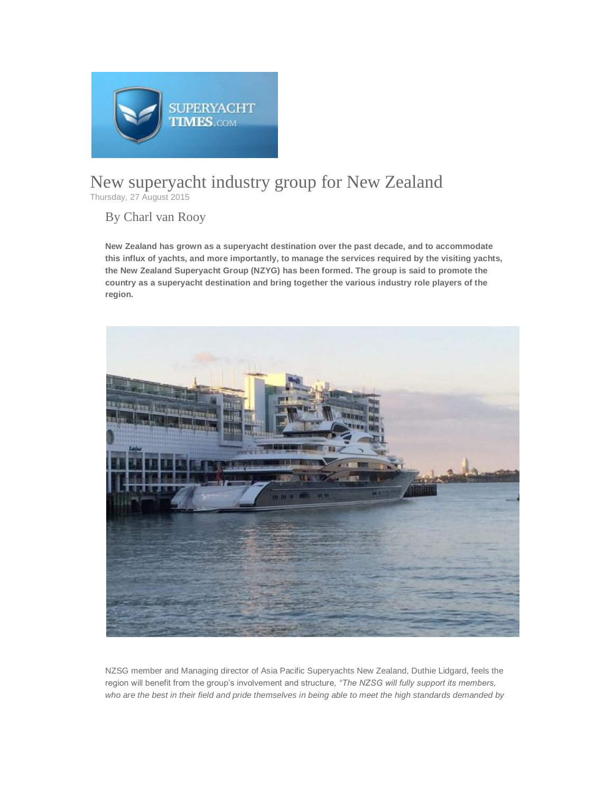

## New superyacht industry group for New Zealand Thursday, 27 August 2015

## By Charl van Rooy

**New Zealand has grown as a superyacht destination over the past decade, and to accommodate this influx of yachts, and more importantly, to manage the services required by the visiting yachts, the New Zealand Superyacht Group (NZYG) has been formed. The group is said to promote the country as a superyacht destination and bring together the various industry role players of the region.**



NZSG member and Managing director of Asia Pacific Superyachts New Zealand, Duthie Lidgard, feels the region will benefit from the group's involvement and structure, *"The NZSG will fully support its members, who are the best in their field and pride themselves in being able to meet the high standards demanded by*